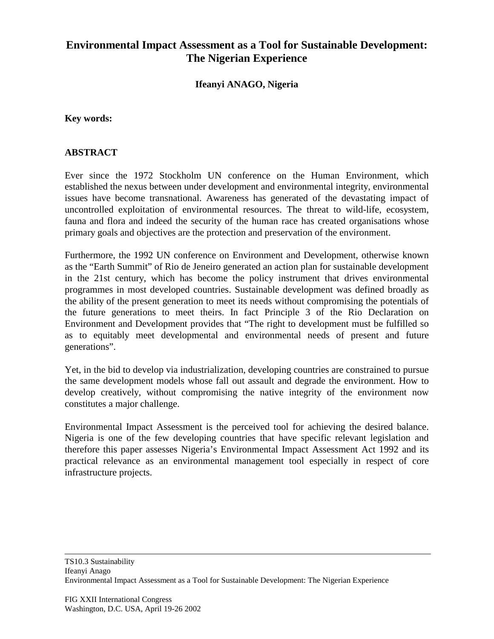## **Environmental Impact Assessment as a Tool for Sustainable Development: The Nigerian Experience**

**Ifeanyi ANAGO, Nigeria**

**Key words:**

## **ABSTRACT**

Ever since the 1972 Stockholm UN conference on the Human Environment, which established the nexus between under development and environmental integrity, environmental issues have become transnational. Awareness has generated of the devastating impact of uncontrolled exploitation of environmental resources. The threat to wild-life, ecosystem, fauna and flora and indeed the security of the human race has created organisations whose primary goals and objectives are the protection and preservation of the environment.

Furthermore, the 1992 UN conference on Environment and Development, otherwise known as the "Earth Summit" of Rio de Jeneiro generated an action plan for sustainable development in the 21st century, which has become the policy instrument that drives environmental programmes in most developed countries. Sustainable development was defined broadly as the ability of the present generation to meet its needs without compromising the potentials of the future generations to meet theirs. In fact Principle 3 of the Rio Declaration on Environment and Development provides that "The right to development must be fulfilled so as to equitably meet developmental and environmental needs of present and future generations".

Yet, in the bid to develop via industrialization, developing countries are constrained to pursue the same development models whose fall out assault and degrade the environment. How to develop creatively, without compromising the native integrity of the environment now constitutes a major challenge.

Environmental Impact Assessment is the perceived tool for achieving the desired balance. Nigeria is one of the few developing countries that have specific relevant legislation and therefore this paper assesses Nigeria's Environmental Impact Assessment Act 1992 and its practical relevance as an environmental management tool especially in respect of core infrastructure projects.